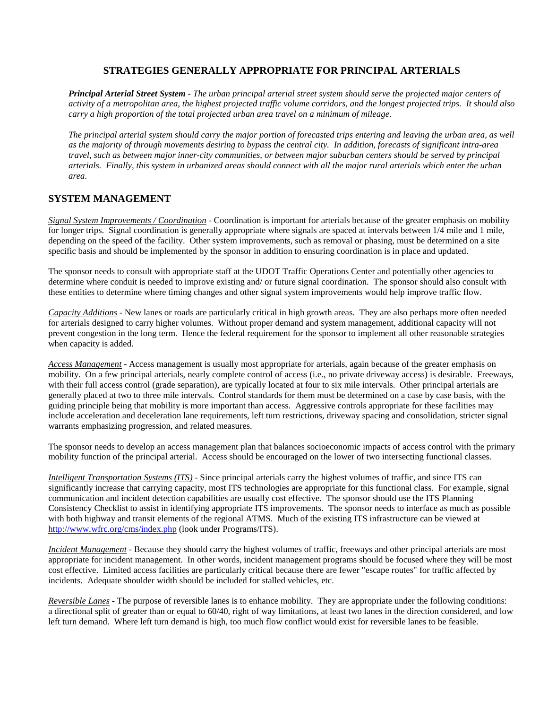## **STRATEGIES GENERALLY APPROPRIATE FOR PRINCIPAL ARTERIALS**

*Principal Arterial Street System - The urban principal arterial street system should serve the projected major centers of activity of a metropolitan area, the highest projected traffic volume corridors, and the longest projected trips. It should also carry a high proportion of the total projected urban area travel on a minimum of mileage.*

*The principal arterial system should carry the major portion of forecasted trips entering and leaving the urban area, as well as the majority of through movements desiring to bypass the central city. In addition, forecasts of significant intra-area travel, such as between major inner-city communities, or between major suburban centers should be served by principal arterials. Finally, this system in urbanized areas should connect with all the major rural arterials which enter the urban area.*

## **SYSTEM MANAGEMENT**

*Signal System Improvements / Coordination* - Coordination is important for arterials because of the greater emphasis on mobility for longer trips. Signal coordination is generally appropriate where signals are spaced at intervals between  $1/4$  mile and 1 mile, depending on the speed of the facility. Other system improvements, such as removal or phasing, must be determined on a site specific basis and should be implemented by the sponsor in addition to ensuring coordination is in place and updated.

The sponsor needs to consult with appropriate staff at the UDOT Traffic Operations Center and potentially other agencies to determine where conduit is needed to improve existing and/ or future signal coordination. The sponsor should also consult with these entities to determine where timing changes and other signal system improvements would help improve traffic flow.

*Capacity Additions* - New lanes or roads are particularly critical in high growth areas. They are also perhaps more often needed for arterials designed to carry higher volumes. Without proper demand and system management, additional capacity will not prevent congestion in the long term. Hence the federal requirement for the sponsor to implement all other reasonable strategies when capacity is added.

*Access Management* - Access management is usually most appropriate for arterials, again because of the greater emphasis on mobility. On a few principal arterials, nearly complete control of access (i.e., no private driveway access) is desirable. Freeways, with their full access control (grade separation), are typically located at four to six mile intervals. Other principal arterials are generally placed at two to three mile intervals. Control standards for them must be determined on a case by case basis, with the guiding principle being that mobility is more important than access. Aggressive controls appropriate for these facilities may include acceleration and deceleration lane requirements, left turn restrictions, driveway spacing and consolidation, stricter signal warrants emphasizing progression, and related measures.

The sponsor needs to develop an access management plan that balances socioeconomic impacts of access control with the primary mobility function of the principal arterial. Access should be encouraged on the lower of two intersecting functional classes.

*Intelligent Transportation Systems (ITS)* - Since principal arterials carry the highest volumes of traffic, and since ITS can significantly increase that carrying capacity, most ITS technologies are appropriate for this functional class. For example, signal communication and incident detection capabilities are usually cost effective. The sponsor should use the ITS Planning Consistency Checklist to assist in identifying appropriate ITS improvements. The sponsor needs to interface as much as possible with both highway and transit elements of the regional ATMS. Much of the existing ITS infrastructure can be viewed at <http://www.wfrc.org/cms/index.php> (look under Programs/ITS).

*Incident Management* - Because they should carry the highest volumes of traffic, freeways and other principal arterials are most appropriate for incident management. In other words, incident management programs should be focused where they will be most cost effective. Limited access facilities are particularly critical because there are fewer "escape routes" for traffic affected by incidents. Adequate shoulder width should be included for stalled vehicles, etc.

*Reversible Lanes* - The purpose of reversible lanes is to enhance mobility. They are appropriate under the following conditions: a directional split of greater than or equal to 60/40, right of way limitations, at least two lanes in the direction considered, and low left turn demand. Where left turn demand is high, too much flow conflict would exist for reversible lanes to be feasible.